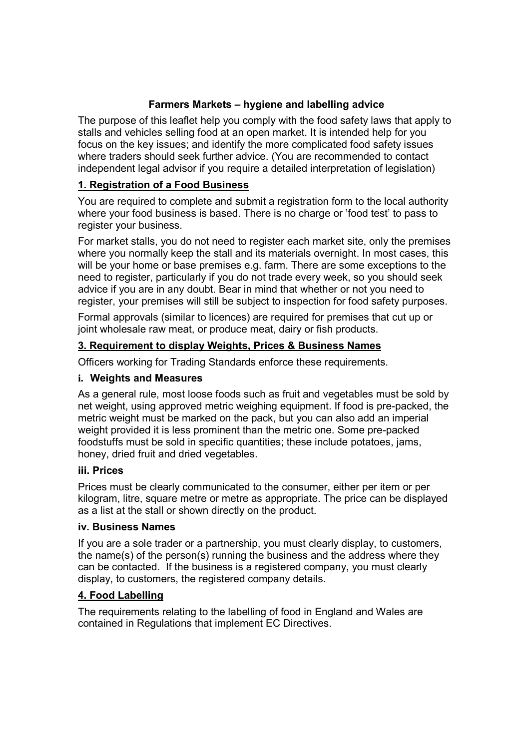# **Farmers Markets – hygiene and labelling advice**

 The purpose of this leaflet help you comply with the food safety laws that apply to stalls and vehicles selling food at an open market. It is intended help for you focus on the key issues; and identify the more complicated food safety issues where traders should seek further advice. (You are recommended to contact independent legal advisor if you require a detailed interpretation of legislation)

# **1. Registration of a Food Business**

 You are required to complete and submit a registration form to the local authority where your food business is based. There is no charge or 'food test' to pass to register your business.

 For market stalls, you do not need to register each market site, only the premises where you normally keep the stall and its materials overnight. In most cases, this will be your home or base premises e.g. farm. There are some exceptions to the need to register, particularly if you do not trade every week, so you should seek advice if you are in any doubt. Bear in mind that whether or not you need to register, your premises will still be subject to inspection for food safety purposes.

 Formal approvals (similar to licences) are required for premises that cut up or joint wholesale raw meat, or produce meat, dairy or fish products.

# **3. Requirement to display Weights, Prices & Business Names**

Officers working for Trading Standards enforce these requirements.

## **i. Weights and Measures**

 As a general rule, most loose foods such as fruit and vegetables must be sold by net weight, using approved metric weighing equipment. If food is pre-packed, the metric weight must be marked on the pack, but you can also add an imperial weight provided it is less prominent than the metric one. Some pre-packed foodstuffs must be sold in specific quantities; these include potatoes, jams, honey, dried fruit and dried vegetables.

### **iii. Prices**

 Prices must be clearly communicated to the consumer, either per item or per kilogram, litre, square metre or metre as appropriate. The price can be displayed as a list at the stall or shown directly on the product.

### **iv. Business Names**

 If you are a sole trader or a partnership, you must clearly display, to customers, the name(s) of the person(s) running the business and the address where they can be contacted. If the business is a registered company, you must clearly display, to customers, the registered company details.

### **4. Food Labelling**

 The requirements relating to the labelling of food in England and Wales are contained in Regulations that implement EC Directives.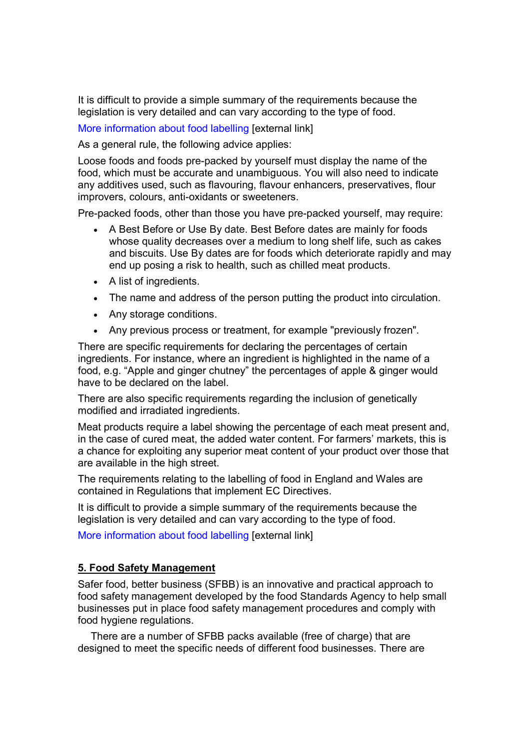It is difficult to provide a simple summary of the requirements because the legislation is very detailed and can vary according to the type of food.

More information about food labelling [external link]

As a general rule, the following advice applies:

Loose foods and foods pre-packed by yourself must display the name of the food, which must be accurate and unambiguous. You will also need to indicate any additives used, such as flavouring, flavour enhancers, preservatives, flour improvers, colours, anti-oxidants or sweeteners.

Pre-packed foods, other than those you have pre-packed yourself, may require:

- A Best Before or Use By date. Best Before dates are mainly for foods whose quality decreases over a medium to long shelf life, such as cakes and biscuits. Use By dates are for foods which deteriorate rapidly and may end up posing a risk to health, such as chilled meat products.
- • A list of ingredients.
- The name and address of the person putting the product into circulation.
- • Any storage conditions.
- Any previous process or treatment, for example "previously frozen".

 There are specific requirements for declaring the percentages of certain ingredients. For instance, where an ingredient is highlighted in the name of a food, e.g. "Apple and ginger chutney" the percentages of apple & ginger would have to be declared on the label.

 There are also specific requirements regarding the inclusion of genetically modified and irradiated ingredients.

 Meat products require a label showing the percentage of each meat present and, in the case of cured meat, the added water content. For farmers' markets, this is a chance for exploiting any superior meat content of your product over those that are available in the high street.

 The requirements relating to the labelling of food in England and Wales are contained in Regulations that implement EC Directives.

 It is difficult to provide a simple summary of the requirements because the legislation is very detailed and can vary according to the type of food.

More information about food labelling [external link]

### **5. Food Safety Management**

 Safer food, better business (SFBB) is an innovative and practical approach to food safety management developed by the food Standards Agency to help small businesses put in place food safety management procedures and comply with food hygiene regulations.

 There are a number of SFBB packs available (free of charge) that are designed to meet the specific needs of different food businesses. There are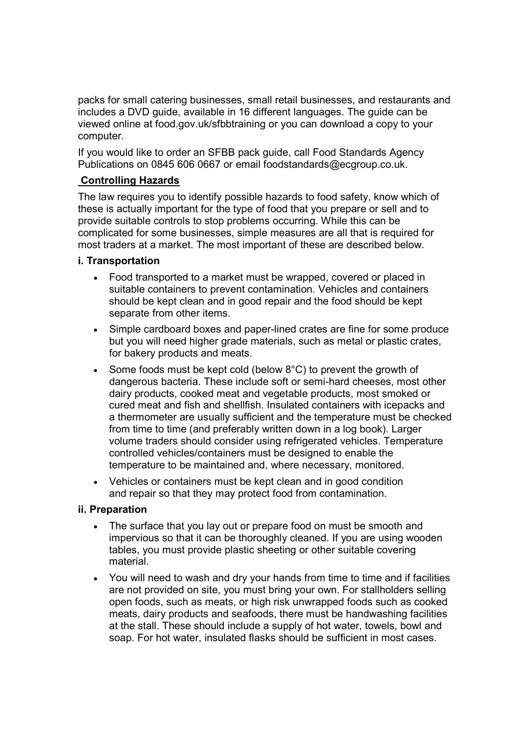packs for small catering businesses, small retail businesses, and restaurants and includes a DVD guide, available in 16 different languages. The guide can be viewed online at food.gov.uk/sfbbtraining or you can download a copy to your computer.

 If you would like to order an SFBB pack guide, call Food Standards Agency Publications on 0845 606 0667 or email foodstandards@ecgroup.co.uk.

### **Controlling Hazards**

 The law requires you to identify possible hazards to food safety, know which of these is actually important for the type of food that you prepare or sell and to provide suitable controls to stop problems occurring. While this can be complicated for some businesses, simple measures are all that is required for most traders at a market. The most important of these are described below.

### **i. Transportation**

- Food transported to a market must be wrapped, covered or placed in suitable containers to prevent contamination. Vehicles and containers should be kept clean and in good repair and the food should be kept separate from other items.
- Simple cardboard boxes and paper-lined crates are fine for some produce but you will need higher grade materials, such as metal or plastic crates, for bakery products and meats.
- Some foods must be kept cold (below  $8^{\circ}$ C) to prevent the growth of dangerous bacteria. These include soft or semi-hard cheeses, most other dairy products, cooked meat and vegetable products, most smoked or cured meat and fish and shellfish. Insulated containers with icepacks and a thermometer are usually sufficient and the temperature must be checked from time to time (and preferably written down in a log book). Larger volume traders should consider using refrigerated vehicles. Temperature controlled vehicles/containers must be designed to enable the temperature to be maintained and, where necessary, monitored.
- Vehicles or containers must be kept clean and in good condition and repair so that they may protect food from contamination.

### **ii. Preparation**

- The surface that you lay out or prepare food on must be smooth and impervious so that it can be thoroughly cleaned. If you are using wooden tables, you must provide plastic sheeting or other suitable covering material.
- You will need to wash and dry your hands from time to time and if facilities are not provided on site, you must bring your own. For stallholders selling open foods, such as meats, or high risk unwrapped foods such as cooked meats, dairy products and seafoods, there must be handwashing facilities at the stall. These should include a supply of hot water, towels, bowl and soap. For hot water, insulated flasks should be sufficient in most cases.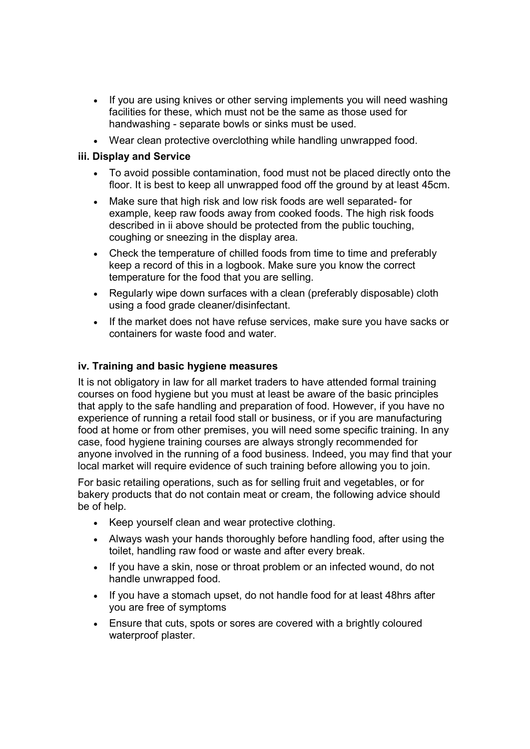- If you are using knives or other serving implements you will need washing facilities for these, which must not be the same as those used for handwashing - separate bowls or sinks must be used.
- Wear clean protective overclothing while handling unwrapped food.

## **iii. Display and Service**

- To avoid possible contamination, food must not be placed directly onto the floor. It is best to keep all unwrapped food off the ground by at least 45cm.
- Make sure that high risk and low risk foods are well separated- for example, keep raw foods away from cooked foods. The high risk foods described in ii above should be protected from the public touching, coughing or sneezing in the display area.
- Check the temperature of chilled foods from time to time and preferably keep a record of this in a logbook. Make sure you know the correct temperature for the food that you are selling.
- Regularly wipe down surfaces with a clean (preferably disposable) cloth using a food grade cleaner/disinfectant.
- • If the market does not have refuse services, make sure you have sacks or containers for waste food and water.

## **iv. Training and basic hygiene measures**

 It is not obligatory in law for all market traders to have attended formal training courses on food hygiene but you must at least be aware of the basic principles that apply to the safe handling and preparation of food. However, if you have no experience of running a retail food stall or business, or if you are manufacturing food at home or from other premises, you will need some specific training. In any case, food hygiene training courses are always strongly recommended for anyone involved in the running of a food business. Indeed, you may find that your local market will require evidence of such training before allowing you to join.

 For basic retailing operations, such as for selling fruit and vegetables, or for bakery products that do not contain meat or cream, the following advice should be of help.

- Keep yourself clean and wear protective clothing.
- Always wash your hands thoroughly before handling food, after using the toilet, handling raw food or waste and after every break.
- If you have a skin, nose or throat problem or an infected wound, do not handle unwrapped food.
- you are free of symptoms • If you have a stomach upset, do not handle food for at least 48hrs after
- Ensure that cuts, spots or sores are covered with a brightly coloured waterproof plaster.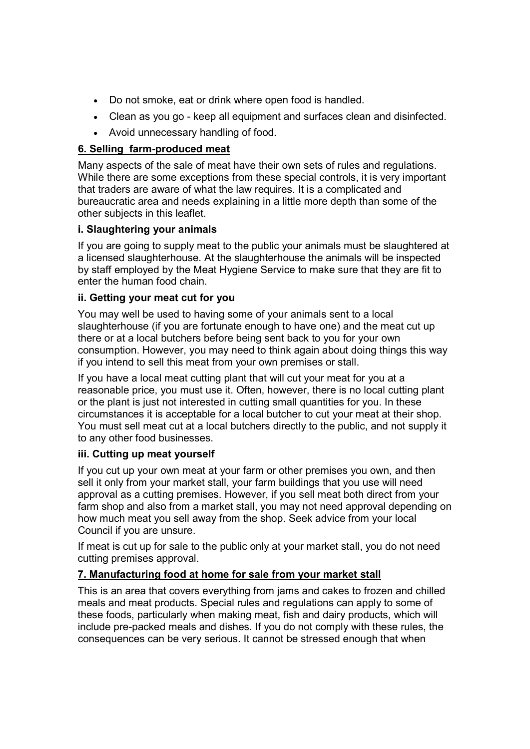- Do not smoke, eat or drink where open food is handled.
- Clean as you go keep all equipment and surfaces clean and disinfected.
- Avoid unnecessary handling of food.

## <u>**6. Selling farm-produced meat**</u>

 Many aspects of the sale of meat have their own sets of rules and regulations. While there are some exceptions from these special controls, it is very important that traders are aware of what the law requires. It is a complicated and bureaucratic area and needs explaining in a little more depth than some of the other subjects in this leaflet.

## **i. Slaughtering your animals**

 If you are going to supply meat to the public your animals must be slaughtered at a licensed slaughterhouse. At the slaughterhouse the animals will be inspected by staff employed by the Meat Hygiene Service to make sure that they are fit to enter the human food chain.

## **ii. Getting your meat cut for you**

 You may well be used to having some of your animals sent to a local slaughterhouse (if you are fortunate enough to have one) and the meat cut up there or at a local butchers before being sent back to you for your own consumption. However, you may need to think again about doing things this way if you intend to sell this meat from your own premises or stall.

 If you have a local meat cutting plant that will cut your meat for you at a reasonable price, you must use it. Often, however, there is no local cutting plant or the plant is just not interested in cutting small quantities for you. In these circumstances it is acceptable for a local butcher to cut your meat at their shop. You must sell meat cut at a local butchers directly to the public, and not supply it to any other food businesses.

### **iii. Cutting up meat yourself**

 If you cut up your own meat at your farm or other premises you own, and then sell it only from your market stall, your farm buildings that you use will need approval as a cutting premises. However, if you sell meat both direct from your farm shop and also from a market stall, you may not need approval depending on how much meat you sell away from the shop. Seek advice from your local Council if you are unsure.

 If meat is cut up for sale to the public only at your market stall, you do not need cutting premises approval.

# **7. Manufacturing food at home for sale from your market stall**

 This is an area that covers everything from jams and cakes to frozen and chilled meals and meat products. Special rules and regulations can apply to some of these foods, particularly when making meat, fish and dairy products, which will include pre-packed meals and dishes. If you do not comply with these rules, the consequences can be very serious. It cannot be stressed enough that when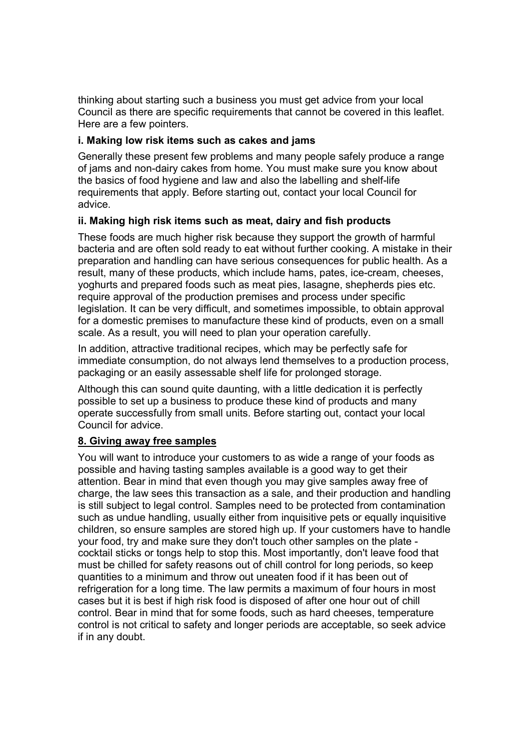thinking about starting such a business you must get advice from your local Council as there are specific requirements that cannot be covered in this leaflet. Here are a few pointers.

### **i. Making low risk items such as cakes and jams**

 Generally these present few problems and many people safely produce a range of jams and non-dairy cakes from home. You must make sure you know about the basics of food hygiene and law and also the labelling and shelf-life requirements that apply. Before starting out, contact your local Council for advice.

## **ii. Making high risk items such as meat, dairy and fish products**

 These foods are much higher risk because they support the growth of harmful bacteria and are often sold ready to eat without further cooking. A mistake in their preparation and handling can have serious consequences for public health. As a result, many of these products, which include hams, pates, ice-cream, cheeses, yoghurts and prepared foods such as meat pies, lasagne, shepherds pies etc. require approval of the production premises and process under specific legislation. It can be very difficult, and sometimes impossible, to obtain approval for a domestic premises to manufacture these kind of products, even on a small scale. As a result, you will need to plan your operation carefully.

 In addition, attractive traditional recipes, which may be perfectly safe for immediate consumption, do not always lend themselves to a production process, packaging or an easily assessable shelf life for prolonged storage.

 Although this can sound quite daunting, with a little dedication it is perfectly possible to set up a business to produce these kind of products and many operate successfully from small units. Before starting out, contact your local Council for advice.

### **8. Giving away free samples**

 You will want to introduce your customers to as wide a range of your foods as possible and having tasting samples available is a good way to get their attention. Bear in mind that even though you may give samples away free of charge, the law sees this transaction as a sale, and their production and handling is still subject to legal control. Samples need to be protected from contamination such as undue handling, usually either from inquisitive pets or equally inquisitive children, so ensure samples are stored high up. If your customers have to handle your food, try and make sure they don't touch other samples on the plate cocktail sticks or tongs help to stop this. Most importantly, don't leave food that must be chilled for safety reasons out of chill control for long periods, so keep quantities to a minimum and throw out uneaten food if it has been out of refrigeration for a long time. The law permits a maximum of four hours in most cases but it is best if high risk food is disposed of after one hour out of chill control. Bear in mind that for some foods, such as hard cheeses, temperature control is not critical to safety and longer periods are acceptable, so seek advice if in any doubt.